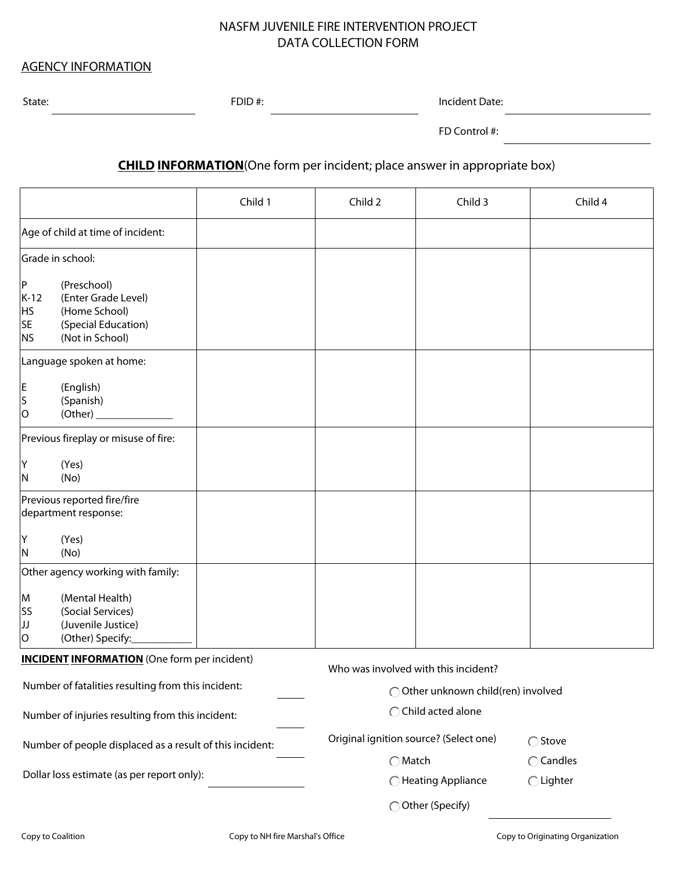## NASFM JUVENILE FIRE INTERVENTION PROJECT DATA COLLECTION FORM

## AGENCY INFORMATION

State: FDID #: FDID #: Incident Date: Incident Date: Incident Date: Incident Date: Incident Date: Incident Date: Incident Date: Incident Date: Incident Date: Incident Date: Incident Date: Incident Date: Incident Date: Inci

FD Control #:

**CHILD INFORMATION**(One form per incident; place answer in appropriate box)

|                                                          |                                                                                               | Child 1                                | Child 2                              | Child 3             | Child 4            |
|----------------------------------------------------------|-----------------------------------------------------------------------------------------------|----------------------------------------|--------------------------------------|---------------------|--------------------|
| Age of child at time of incident:                        |                                                                                               |                                        |                                      |                     |                    |
| Grade in school:                                         |                                                                                               |                                        |                                      |                     |                    |
| P<br>$K-12$<br>HS<br><b>SE</b><br><b>NS</b>              | (Preschool)<br>(Enter Grade Level)<br>(Home School)<br>(Special Education)<br>(Not in School) |                                        |                                      |                     |                    |
| Language spoken at home:                                 |                                                                                               |                                        |                                      |                     |                    |
| ΙE<br>S<br>lO                                            | (English)<br>(Spanish)<br>(Other)                                                             |                                        |                                      |                     |                    |
| Previous fireplay or misuse of fire:                     |                                                                                               |                                        |                                      |                     |                    |
| Y<br>IN.                                                 | (Yes)<br>(No)                                                                                 |                                        |                                      |                     |                    |
| Previous reported fire/fire<br>department response:      |                                                                                               |                                        |                                      |                     |                    |
| İΥ<br>ΙN                                                 | (Yes)<br>(No)                                                                                 |                                        |                                      |                     |                    |
| Other agency working with family:                        |                                                                                               |                                        |                                      |                     |                    |
| M<br><b>SS</b><br>IJ<br>O                                | (Mental Health)<br>(Social Services)<br>(Juvenile Justice)<br>(Other) Specify:                |                                        |                                      |                     |                    |
| <b>INCIDENT INFORMATION</b> (One form per incident)      |                                                                                               |                                        | Who was involved with this incident? |                     |                    |
| Number of fatalities resulting from this incident:       |                                                                                               |                                        | ◯ Other unknown child(ren) involved  |                     |                    |
| Number of injuries resulting from this incident:         |                                                                                               |                                        | ◯ Child acted alone                  |                     |                    |
| Number of people displaced as a result of this incident: |                                                                                               | Original ignition source? (Select one) |                                      | ◯ Stove             |                    |
| Dollar loss estimate (as per report only):               |                                                                                               | $\bigcirc$ Match                       |                                      | $\bigcirc$ Candles  |                    |
|                                                          |                                                                                               |                                        |                                      | ◯ Heating Appliance | $\bigcirc$ Lighter |
|                                                          |                                                                                               |                                        |                                      | ◯ Other (Specify)   |                    |